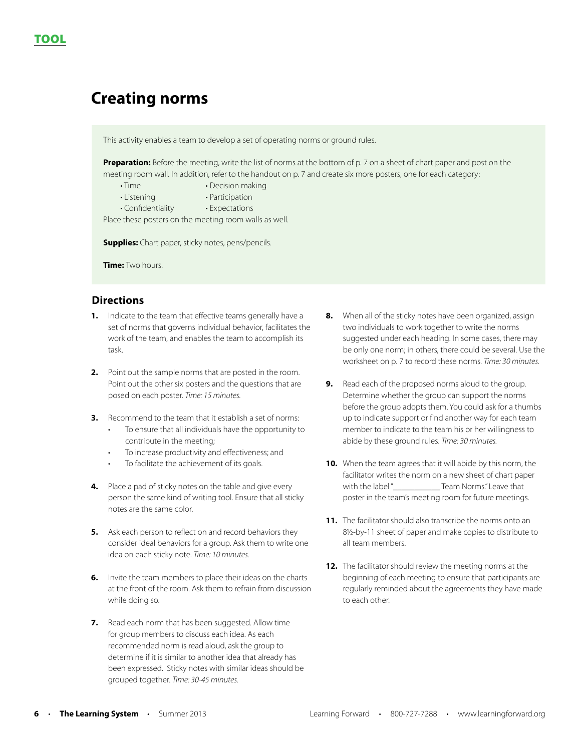# **Creating norms**

This activity enables a team to develop a set of operating norms or ground rules.

**Preparation:** Before the meeting, write the list of norms at the bottom of p. 7 on a sheet of chart paper and post on the meeting room wall. In addition, refer to the handout on p. 7 and create six more posters, one for each category:

- Time Decision making
- Listening Participation
- Confidentiality Expectations

Place these posters on the meeting room walls as well.

**Supplies:** Chart paper, sticky notes, pens/pencils.

**Time:** Two hours.

# **Directions**

- **1.** Indicate to the team that effective teams generally have a set of norms that governs individual behavior, facilitates the work of the team, and enables the team to accomplish its task.
- **2.** Point out the sample norms that are posted in the room. Point out the other six posters and the questions that are posed on each poster. *Time: 15 minutes.*
- **3.** Recommend to the team that it establish a set of norms:
	- To ensure that all individuals have the opportunity to contribute in the meeting;
	- To increase productivity and effectiveness; and
	- To facilitate the achievement of its goals.
- **4.** Place a pad of sticky notes on the table and give every person the same kind of writing tool. Ensure that all sticky notes are the same color.
- **5.** Ask each person to reflect on and record behaviors they consider ideal behaviors for a group. Ask them to write one idea on each sticky note. *Time: 10 minutes.*
- **6.** Invite the team members to place their ideas on the charts at the front of the room. Ask them to refrain from discussion while doing so.
- **7.** Read each norm that has been suggested. Allow time for group members to discuss each idea. As each recommended norm is read aloud, ask the group to determine if it is similar to another idea that already has been expressed. Sticky notes with similar ideas should be grouped together. *Time: 30-45 minutes.*
- **8.** When all of the sticky notes have been organized, assign two individuals to work together to write the norms suggested under each heading. In some cases, there may be only one norm; in others, there could be several. Use the worksheet on p. 7 to record these norms. *Time: 30 minutes.*
- **9.** Read each of the proposed norms aloud to the group. Determine whether the group can support the norms before the group adopts them. You could ask for a thumbs up to indicate support or find another way for each team member to indicate to the team his or her willingness to abide by these ground rules. *Time: 30 minutes.*
- **10.** When the team agrees that it will abide by this norm, the facilitator writes the norm on a new sheet of chart paper with the label "\_\_\_\_\_\_\_\_\_\_\_\_\_\_ Team Norms." Leave that poster in the team's meeting room for future meetings.
- **11.** The facilitator should also transcribe the norms onto an 8½-by-11 sheet of paper and make copies to distribute to all team members.
- **12.** The facilitator should review the meeting norms at the beginning of each meeting to ensure that participants are regularly reminded about the agreements they have made to each other.